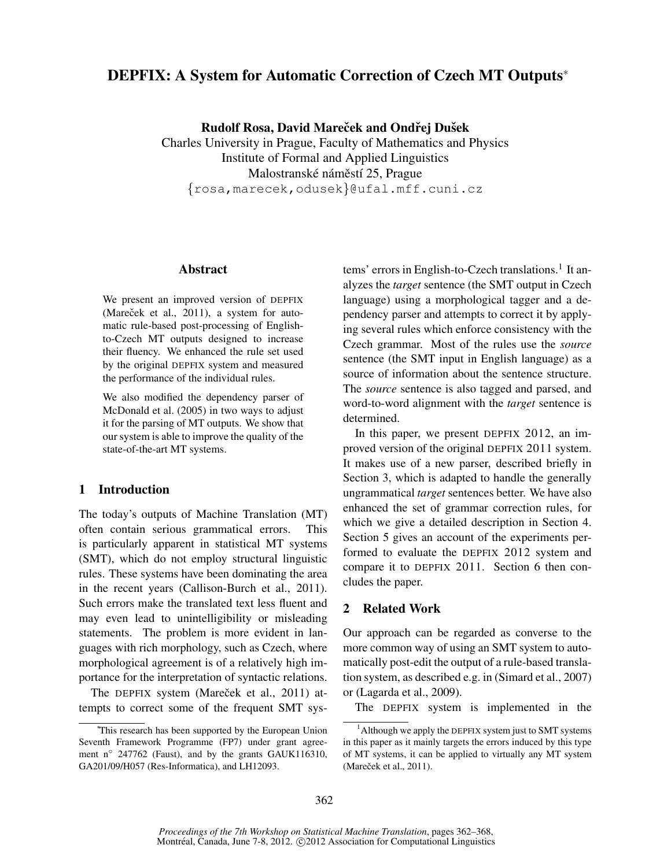# DEPFIX: A System for Automatic Correction of Czech MT Outputs<sup>∗</sup>

Rudolf Rosa, David Mareček and Ondřej Dušek

Charles University in Prague, Faculty of Mathematics and Physics Institute of Formal and Applied Linguistics Malostranské náměstí 25, Prague {rosa,marecek,odusek}@ufal.mff.cuni.cz

### Abstract

We present an improved version of DEPFIX (Mareček et al., 2011), a system for automatic rule-based post-processing of Englishto-Czech MT outputs designed to increase their fluency. We enhanced the rule set used by the original DEPFIX system and measured the performance of the individual rules.

We also modified the dependency parser of McDonald et al. (2005) in two ways to adjust it for the parsing of MT outputs. We show that our system is able to improve the quality of the state-of-the-art MT systems.

# 1 Introduction

The today's outputs of Machine Translation (MT) often contain serious grammatical errors. This is particularly apparent in statistical MT systems (SMT), which do not employ structural linguistic rules. These systems have been dominating the area in the recent years (Callison-Burch et al., 2011). Such errors make the translated text less fluent and may even lead to unintelligibility or misleading statements. The problem is more evident in languages with rich morphology, such as Czech, where morphological agreement is of a relatively high importance for the interpretation of syntactic relations.

The DEPFIX system (Mareček et al., 2011) attempts to correct some of the frequent SMT sys-

tems' errors in English-to-Czech translations.<sup>1</sup> It analyzes the *target* sentence (the SMT output in Czech language) using a morphological tagger and a dependency parser and attempts to correct it by applying several rules which enforce consistency with the Czech grammar. Most of the rules use the *source* sentence (the SMT input in English language) as a source of information about the sentence structure. The *source* sentence is also tagged and parsed, and word-to-word alignment with the *target* sentence is determined.

In this paper, we present DEPFIX 2012, an improved version of the original DEPFIX 2011 system. It makes use of a new parser, described briefly in Section 3, which is adapted to handle the generally ungrammatical *target* sentences better. We have also enhanced the set of grammar correction rules, for which we give a detailed description in Section 4. Section 5 gives an account of the experiments performed to evaluate the DEPFIX 2012 system and compare it to DEPFIX 2011. Section 6 then concludes the paper.

## 2 Related Work

Our approach can be regarded as converse to the more common way of using an SMT system to automatically post-edit the output of a rule-based translation system, as described e.g. in (Simard et al., 2007) or (Lagarda et al., 2009).

The DEPFIX system is implemented in the

<sup>∗</sup>This research has been supported by the European Union Seventh Framework Programme (FP7) under grant agreement n<sup>o</sup> 247762 (Faust), and by the grants GAUK116310, GA201/09/H057 (Res-Informatica), and LH12093.

<sup>&</sup>lt;sup>1</sup> Although we apply the DEPFIX system just to SMT systems in this paper as it mainly targets the errors induced by this type of MT systems, it can be applied to virtually any MT system (Mareček et al., 2011).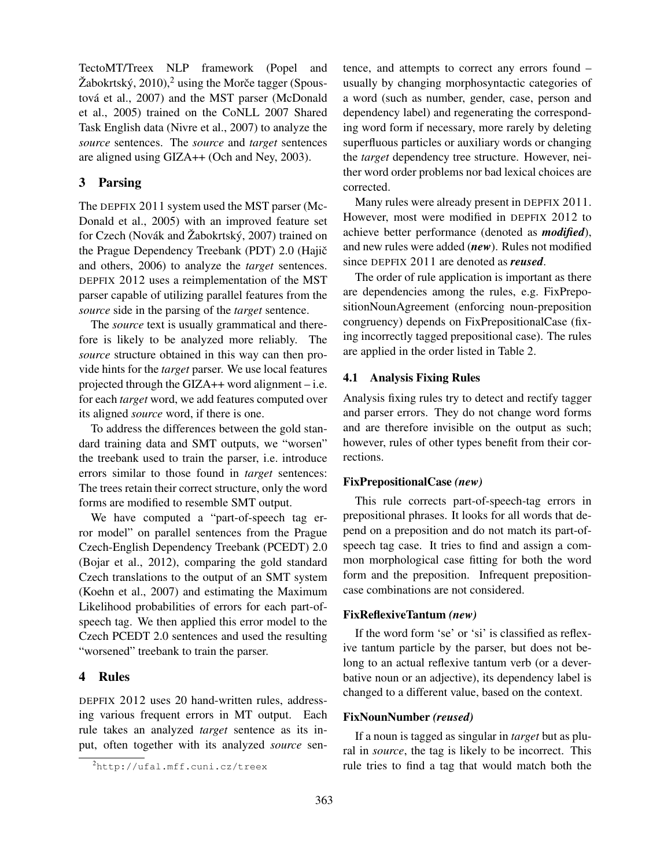TectoMT/Treex NLP framework (Popel and Žabokrtský, 2010),<sup>2</sup> using the Morče tagger (Spoustová et al., 2007) and the MST parser (McDonald et al., 2005) trained on the CoNLL 2007 Shared Task English data (Nivre et al., 2007) to analyze the *source* sentences. The *source* and *target* sentences are aligned using GIZA++ (Och and Ney, 2003).

# 3 Parsing

The DEPFIX 2011 system used the MST parser (Mc-Donald et al., 2005) with an improved feature set for Czech (Novák and Žabokrtský, 2007) trained on the Prague Dependency Treebank (PDT) 2.0 (Hajič and others, 2006) to analyze the *target* sentences. DEPFIX 2012 uses a reimplementation of the MST parser capable of utilizing parallel features from the *source* side in the parsing of the *target* sentence.

The *source* text is usually grammatical and therefore is likely to be analyzed more reliably. The *source* structure obtained in this way can then provide hints for the *target* parser. We use local features projected through the GIZA++ word alignment – i.e. for each *target* word, we add features computed over its aligned *source* word, if there is one.

To address the differences between the gold standard training data and SMT outputs, we "worsen" the treebank used to train the parser, i.e. introduce errors similar to those found in *target* sentences: The trees retain their correct structure, only the word forms are modified to resemble SMT output.

We have computed a "part-of-speech tag error model" on parallel sentences from the Prague Czech-English Dependency Treebank (PCEDT) 2.0 (Bojar et al., 2012), comparing the gold standard Czech translations to the output of an SMT system (Koehn et al., 2007) and estimating the Maximum Likelihood probabilities of errors for each part-ofspeech tag. We then applied this error model to the Czech PCEDT 2.0 sentences and used the resulting "worsened" treebank to train the parser.

# 4 Rules

DEPFIX 2012 uses 20 hand-written rules, addressing various frequent errors in MT output. Each rule takes an analyzed *target* sentence as its input, often together with its analyzed *source* sentence, and attempts to correct any errors found – usually by changing morphosyntactic categories of a word (such as number, gender, case, person and dependency label) and regenerating the corresponding word form if necessary, more rarely by deleting superfluous particles or auxiliary words or changing the *target* dependency tree structure. However, neither word order problems nor bad lexical choices are corrected.

Many rules were already present in DEPFIX 2011. However, most were modified in DEPFIX 2012 to achieve better performance (denoted as *modified*), and new rules were added (*new*). Rules not modified since DEPFIX 2011 are denoted as *reused*.

The order of rule application is important as there are dependencies among the rules, e.g. FixPrepositionNounAgreement (enforcing noun-preposition congruency) depends on FixPrepositionalCase (fixing incorrectly tagged prepositional case). The rules are applied in the order listed in Table 2.

### 4.1 Analysis Fixing Rules

Analysis fixing rules try to detect and rectify tagger and parser errors. They do not change word forms and are therefore invisible on the output as such; however, rules of other types benefit from their corrections.

#### FixPrepositionalCase *(new)*

This rule corrects part-of-speech-tag errors in prepositional phrases. It looks for all words that depend on a preposition and do not match its part-ofspeech tag case. It tries to find and assign a common morphological case fitting for both the word form and the preposition. Infrequent prepositioncase combinations are not considered.

### FixReflexiveTantum *(new)*

If the word form 'se' or 'si' is classified as reflexive tantum particle by the parser, but does not belong to an actual reflexive tantum verb (or a deverbative noun or an adjective), its dependency label is changed to a different value, based on the context.

#### FixNounNumber *(reused)*

If a noun is tagged as singular in *target* but as plural in *source*, the tag is likely to be incorrect. This rule tries to find a tag that would match both the

 $\frac{2}{\pi}$ http://ufal.mff.cuni.cz/treex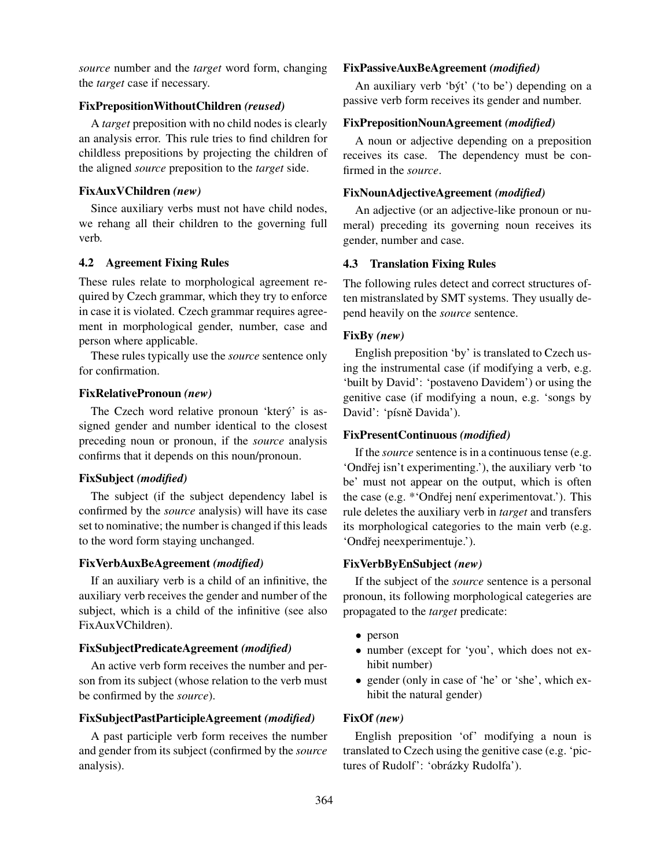*source* number and the *target* word form, changing the *target* case if necessary.

### FixPrepositionWithoutChildren *(reused)*

A *target* preposition with no child nodes is clearly an analysis error. This rule tries to find children for childless prepositions by projecting the children of the aligned *source* preposition to the *target* side.

#### FixAuxVChildren *(new)*

Since auxiliary verbs must not have child nodes, we rehang all their children to the governing full verb.

#### 4.2 Agreement Fixing Rules

These rules relate to morphological agreement required by Czech grammar, which they try to enforce in case it is violated. Czech grammar requires agreement in morphological gender, number, case and person where applicable.

These rules typically use the *source* sentence only for confirmation.

### FixRelativePronoun *(new)*

The Czech word relative pronoun 'ktery' is assigned gender and number identical to the closest preceding noun or pronoun, if the *source* analysis confirms that it depends on this noun/pronoun.

#### FixSubject *(modified)*

The subject (if the subject dependency label is confirmed by the *source* analysis) will have its case set to nominative; the number is changed if this leads to the word form staying unchanged.

#### FixVerbAuxBeAgreement *(modified)*

If an auxiliary verb is a child of an infinitive, the auxiliary verb receives the gender and number of the subject, which is a child of the infinitive (see also FixAuxVChildren).

## FixSubjectPredicateAgreement *(modified)*

An active verb form receives the number and person from its subject (whose relation to the verb must be confirmed by the *source*).

# FixSubjectPastParticipleAgreement *(modified)*

A past participle verb form receives the number and gender from its subject (confirmed by the *source* analysis).

### FixPassiveAuxBeAgreement *(modified)*

An auxiliary verb 'byt' ('to be') depending on a passive verb form receives its gender and number.

#### FixPrepositionNounAgreement *(modified)*

A noun or adjective depending on a preposition receives its case. The dependency must be confirmed in the *source*.

### FixNounAdjectiveAgreement *(modified)*

An adjective (or an adjective-like pronoun or numeral) preceding its governing noun receives its gender, number and case.

### 4.3 Translation Fixing Rules

The following rules detect and correct structures often mistranslated by SMT systems. They usually depend heavily on the *source* sentence.

#### FixBy *(new)*

English preposition 'by' is translated to Czech using the instrumental case (if modifying a verb, e.g. 'built by David': 'postaveno Davidem') or using the genitive case (if modifying a noun, e.g. 'songs by David': 'písně Davida').

#### FixPresentContinuous *(modified)*

If the *source* sentence is in a continuous tense (e.g. 'Ondřej isn't experimenting.'), the auxiliary verb 'to be' must not appear on the output, which is often the case (e.g.  $*$  Ondřej není experimentovat.'). This rule deletes the auxiliary verb in *target* and transfers its morphological categories to the main verb (e.g. 'Ondřej neexperimentuje.').

### FixVerbByEnSubject *(new)*

If the subject of the *source* sentence is a personal pronoun, its following morphological categeries are propagated to the *target* predicate:

- person
- number (except for 'you', which does not exhibit number)
- gender (only in case of 'he' or 'she', which exhibit the natural gender)

#### FixOf *(new)*

English preposition 'of' modifying a noun is translated to Czech using the genitive case (e.g. 'pictures of Rudolf': 'obrázky Rudolfa').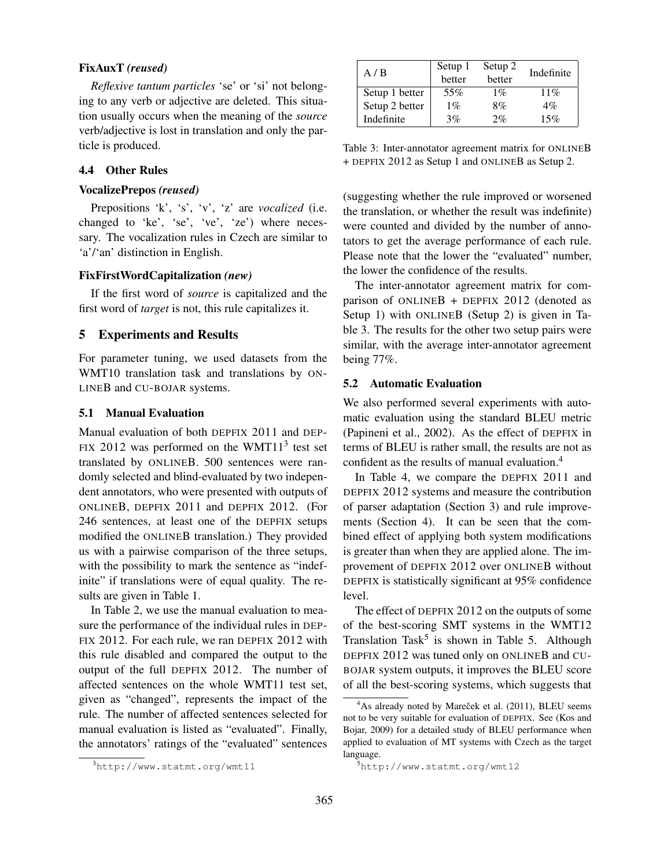### FixAuxT *(reused)*

*Reflexive tantum particles* 'se' or 'si' not belonging to any verb or adjective are deleted. This situation usually occurs when the meaning of the *source* verb/adjective is lost in translation and only the particle is produced.

### 4.4 Other Rules

#### VocalizePrepos *(reused)*

Prepositions 'k', 's', 'v', 'z' are *vocalized* (i.e. changed to 'ke', 'se', 've', 'ze') where necessary. The vocalization rules in Czech are similar to 'a'/'an' distinction in English.

### FixFirstWordCapitalization *(new)*

If the first word of *source* is capitalized and the first word of *target* is not, this rule capitalizes it.

#### 5 Experiments and Results

For parameter tuning, we used datasets from the WMT10 translation task and translations by ON-LINEB and CU-BOJAR systems.

#### 5.1 Manual Evaluation

Manual evaluation of both DEPFIX 2011 and DEP-FIX 2012 was performed on the WMT11 $3$  test set translated by ONLINEB. 500 sentences were randomly selected and blind-evaluated by two independent annotators, who were presented with outputs of ONLINEB, DEPFIX 2011 and DEPFIX 2012. (For 246 sentences, at least one of the DEPFIX setups modified the ONLINEB translation.) They provided us with a pairwise comparison of the three setups, with the possibility to mark the sentence as "indefinite" if translations were of equal quality. The results are given in Table 1.

In Table 2, we use the manual evaluation to measure the performance of the individual rules in DEP-FIX 2012. For each rule, we ran DEPFIX 2012 with this rule disabled and compared the output to the output of the full DEPFIX 2012. The number of affected sentences on the whole WMT11 test set, given as "changed", represents the impact of the rule. The number of affected sentences selected for manual evaluation is listed as "evaluated". Finally, the annotators' ratings of the "evaluated" sentences

| A/B            | Setup 1<br>better | Setup 2<br>better | Indefinite |
|----------------|-------------------|-------------------|------------|
| Setup 1 better | 55%               | $1\%$             | 11%        |
| Setup 2 better | $1\%$             | 8%                | $4\%$      |
| Indefinite     | 3%                | 2%                | 15%        |

Table 3: Inter-annotator agreement matrix for ONLINEB + DEPFIX 2012 as Setup 1 and ONLINEB as Setup 2.

(suggesting whether the rule improved or worsened the translation, or whether the result was indefinite) were counted and divided by the number of annotators to get the average performance of each rule. Please note that the lower the "evaluated" number, the lower the confidence of the results.

The inter-annotator agreement matrix for comparison of ONLINEB + DEPFIX 2012 (denoted as Setup 1) with ONLINEB (Setup 2) is given in Table 3. The results for the other two setup pairs were similar, with the average inter-annotator agreement being 77%.

#### 5.2 Automatic Evaluation

We also performed several experiments with automatic evaluation using the standard BLEU metric (Papineni et al., 2002). As the effect of DEPFIX in terms of BLEU is rather small, the results are not as confident as the results of manual evaluation.<sup>4</sup>

In Table 4, we compare the DEPFIX 2011 and DEPFIX 2012 systems and measure the contribution of parser adaptation (Section 3) and rule improvements (Section 4). It can be seen that the combined effect of applying both system modifications is greater than when they are applied alone. The improvement of DEPFIX 2012 over ONLINEB without DEPFIX is statistically significant at 95% confidence level.

The effect of DEPFIX 2012 on the outputs of some of the best-scoring SMT systems in the WMT12 Translation Task<sup>5</sup> is shown in Table 5. Although DEPFIX 2012 was tuned only on ONLINEB and CU-BOJAR system outputs, it improves the BLEU score of all the best-scoring systems, which suggests that

<sup>3</sup>http://www.statmt.org/wmt11

 $4$ As already noted by Mareček et al. (2011), BLEU seems not to be very suitable for evaluation of DEPFIX. See (Kos and Bojar, 2009) for a detailed study of BLEU performance when applied to evaluation of MT systems with Czech as the target language.

<sup>5</sup>http://www.statmt.org/wmt12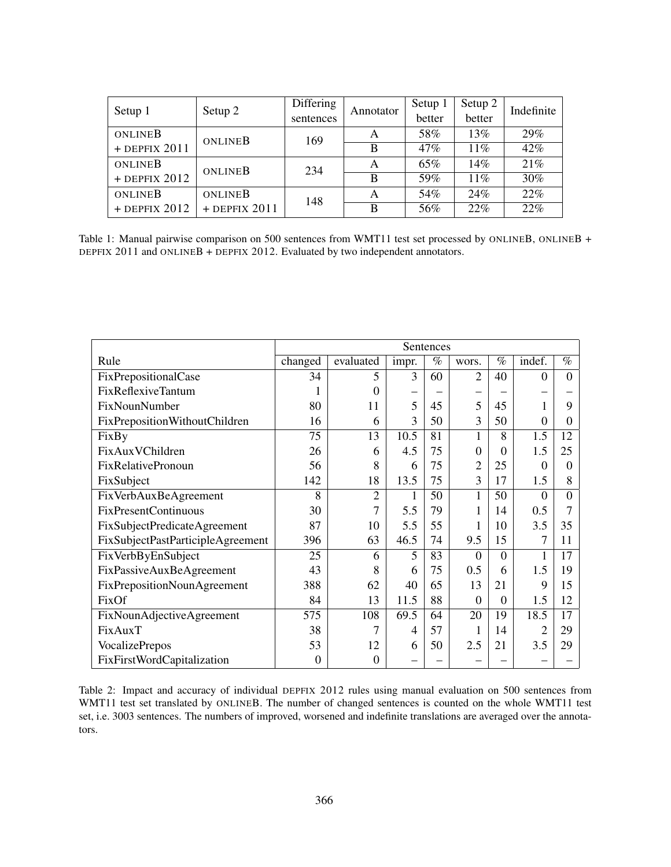| Setup 1         | Setup 2         | Differing | Annotator | Setup 1 | Setup 2 | Indefinite |  |
|-----------------|-----------------|-----------|-----------|---------|---------|------------|--|
|                 |                 | sentences |           | better  | better  |            |  |
| ONLINEB         | ONLINEB         | 169       | A         | 58%     | 13%     | 29%        |  |
| $+$ DEPFIX 2011 |                 |           | B         | 47%     | $11\%$  | 42%        |  |
| ONLINEB         | ONLINEB         | 234       | A         | 65%     | 14%     | 21%        |  |
| $+$ DEPFIX 2012 |                 |           | B         | 59%     | $11\%$  | 30%        |  |
| ONLINEB         | ONLINEB         | 148       | А         | 54%     | 24%     | 22%        |  |
| $+$ DEPFIX 2012 | $+$ DEPFIX 2011 |           | B         | 56%     | 22%     | 22%        |  |

Table 1: Manual pairwise comparison on 500 sentences from WMT11 test set processed by ONLINEB, ONLINEB + DEPFIX 2011 and ONLINEB + DEPFIX 2012. Evaluated by two independent annotators.

|                                   | Sentences |                |       |      |                |          |          |          |
|-----------------------------------|-----------|----------------|-------|------|----------------|----------|----------|----------|
| Rule                              | changed   | evaluated      | impr. | $\%$ | wors.          | $\%$     | indef.   | $\%$     |
| FixPrepositionalCase              | 34        | 5              | 3     | 60   | $\overline{2}$ | 40       | $\Omega$ | $\Omega$ |
| FixReflexiveTantum                |           | 0              |       |      |                |          |          |          |
| FixNounNumber                     | 80        | 11             | 5     | 45   | 5              | 45       |          | 9        |
| FixPrepositionWithoutChildren     | 16        | 6              | 3     | 50   | 3              | 50       | $\Omega$ | 0        |
| FixBy                             | 75        | 13             | 10.5  | 81   | 1              | 8        | 1.5      | 12       |
| FixAuxVChildren                   | 26        | 6              | 4.5   | 75   | $\Omega$       | 0        | 1.5      | 25       |
| <b>FixRelativePronoun</b>         | 56        | 8              | 6     | 75   | $\overline{2}$ | 25       | $\Omega$ | 0        |
| FixSubject                        | 142       | 18             | 13.5  | 75   | 3              | 17       | 1.5      | 8        |
| FixVerbAuxBeAgreement             | 8         | $\overline{2}$ |       | 50   | 1              | 50       | $\Omega$ | $\Omega$ |
| <b>FixPresentContinuous</b>       | 30        | $\overline{7}$ | 5.5   | 79   | 1              | 14       | 0.5      |          |
| FixSubjectPredicateAgreement      | 87        | 10             | 5.5   | 55   |                | 10       | 3.5      | 35       |
| FixSubjectPastParticipleAgreement | 396       | 63             | 46.5  | 74   | 9.5            | 15       | 7        | 11       |
| FixVerbByEnSubject                | 25        | 6              | 5     | 83   | 0              | 0        |          | 17       |
| FixPassiveAuxBeAgreement          | 43        | 8              | 6     | 75   | 0.5            | 6        | 1.5      | 19       |
| FixPrepositionNounAgreement       | 388       | 62             | 40    | 65   | 13             | 21       | 9        | 15       |
| FixOf                             | 84        | 13             | 11.5  | 88   | $\Omega$       | $\Omega$ | 1.5      | 12       |
| FixNounAdjectiveAgreement         | 575       | 108            | 69.5  | 64   | 20             | 19       | 18.5     | 17       |
| FixAuxT                           | 38        | $\tau$         | 4     | 57   | 1              | 14       |          | 29       |
| <b>VocalizePrepos</b>             | 53        | 12             | 6     | 50   | 2.5            | 21       | 3.5      | 29       |
| FixFirstWordCapitalization        | $\theta$  | $\Omega$       |       |      |                |          |          |          |

Table 2: Impact and accuracy of individual DEPFIX 2012 rules using manual evaluation on 500 sentences from WMT11 test set translated by ONLINEB. The number of changed sentences is counted on the whole WMT11 test set, i.e. 3003 sentences. The numbers of improved, worsened and indefinite translations are averaged over the annotators.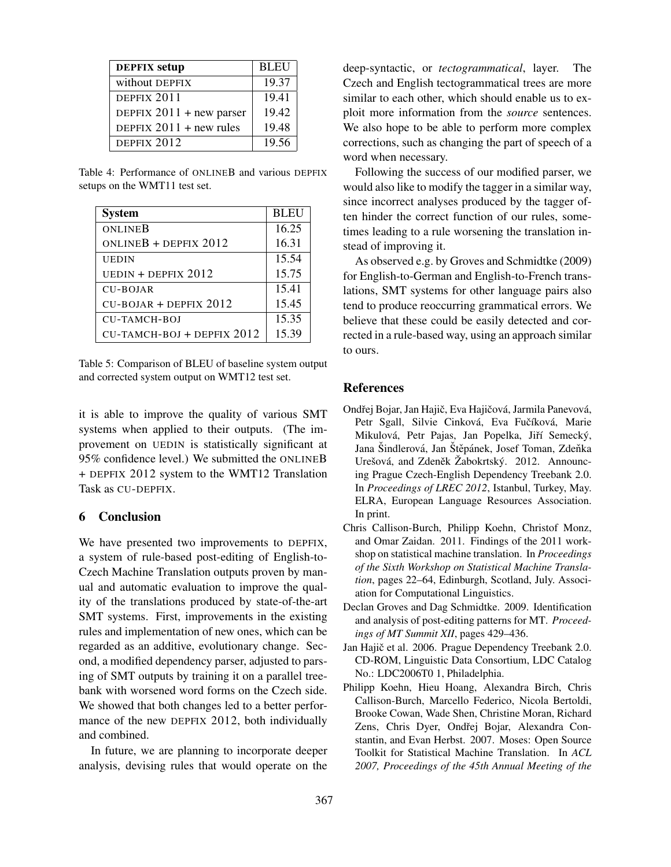| <b>DEPFIX</b> setup        | <b>BLEU</b> |
|----------------------------|-------------|
| without DEPFIX             | 19.37       |
| DEPFIX 2011                | 19.41       |
| DEPFIX $2011$ + new parser | 19.42       |
| DEPFIX $2011 + new rules$  | 19.48       |
| DEPFIX 2012                | 19.56       |

Table 4: Performance of ONLINEB and various DEPFIX setups on the WMT11 test set.

| <b>System</b>                | <b>BLEU</b> |
|------------------------------|-------------|
| ONLINEB                      | 16.25       |
| ONLINEB + DEPFIX $2012$      | 16.31       |
| <b>UEDIN</b>                 | 15.54       |
| UEDIN + DEPFIX $2012$        | 15.75       |
| CU-BOJAR                     | 15.41       |
| $CU-BOJAR + DEPFIX 2012$     | 15.45       |
| <b>CU-TAMCH-BOJ</b>          | 15.35       |
| $CU-TAMCH-BOJ + DEPFIX 2012$ | 15.39       |

Table 5: Comparison of BLEU of baseline system output and corrected system output on WMT12 test set.

it is able to improve the quality of various SMT systems when applied to their outputs. (The improvement on UEDIN is statistically significant at 95% confidence level.) We submitted the ONLINEB + DEPFIX 2012 system to the WMT12 Translation Task as CU-DEPFIX.

# 6 Conclusion

We have presented two improvements to DEPFIX, a system of rule-based post-editing of English-to-Czech Machine Translation outputs proven by manual and automatic evaluation to improve the quality of the translations produced by state-of-the-art SMT systems. First, improvements in the existing rules and implementation of new ones, which can be regarded as an additive, evolutionary change. Second, a modified dependency parser, adjusted to parsing of SMT outputs by training it on a parallel treebank with worsened word forms on the Czech side. We showed that both changes led to a better performance of the new DEPFIX 2012, both individually and combined.

In future, we are planning to incorporate deeper analysis, devising rules that would operate on the deep-syntactic, or *tectogrammatical*, layer. The Czech and English tectogrammatical trees are more similar to each other, which should enable us to exploit more information from the *source* sentences. We also hope to be able to perform more complex corrections, such as changing the part of speech of a word when necessary.

Following the success of our modified parser, we would also like to modify the tagger in a similar way, since incorrect analyses produced by the tagger often hinder the correct function of our rules, sometimes leading to a rule worsening the translation instead of improving it.

As observed e.g. by Groves and Schmidtke (2009) for English-to-German and English-to-French translations, SMT systems for other language pairs also tend to produce reoccurring grammatical errors. We believe that these could be easily detected and corrected in a rule-based way, using an approach similar to ours.

### References

- Ondřej Bojar, Jan Hajič, Eva Hajičová, Jarmila Panevová, Petr Sgall, Silvie Cinková, Eva Fučíková, Marie Mikulová, Petr Pajas, Jan Popelka, Jiří Semecký, Jana Šindlerová, Jan Štěpánek, Josef Toman, Zdeňka Urešová, and Zdeněk Žabokrtský. 2012. Announcing Prague Czech-English Dependency Treebank 2.0. In *Proceedings of LREC 2012*, Istanbul, Turkey, May. ELRA, European Language Resources Association. In print.
- Chris Callison-Burch, Philipp Koehn, Christof Monz, and Omar Zaidan. 2011. Findings of the 2011 workshop on statistical machine translation. In *Proceedings of the Sixth Workshop on Statistical Machine Translation*, pages 22–64, Edinburgh, Scotland, July. Association for Computational Linguistics.
- Declan Groves and Dag Schmidtke. 2009. Identification and analysis of post-editing patterns for MT. *Proceedings of MT Summit XII*, pages 429–436.
- Jan Hajič et al. 2006. Prague Dependency Treebank 2.0. CD-ROM, Linguistic Data Consortium, LDC Catalog No.: LDC2006T0 1, Philadelphia.
- Philipp Koehn, Hieu Hoang, Alexandra Birch, Chris Callison-Burch, Marcello Federico, Nicola Bertoldi, Brooke Cowan, Wade Shen, Christine Moran, Richard Zens, Chris Dyer, Ondřej Bojar, Alexandra Constantin, and Evan Herbst. 2007. Moses: Open Source Toolkit for Statistical Machine Translation. In *ACL 2007, Proceedings of the 45th Annual Meeting of the*